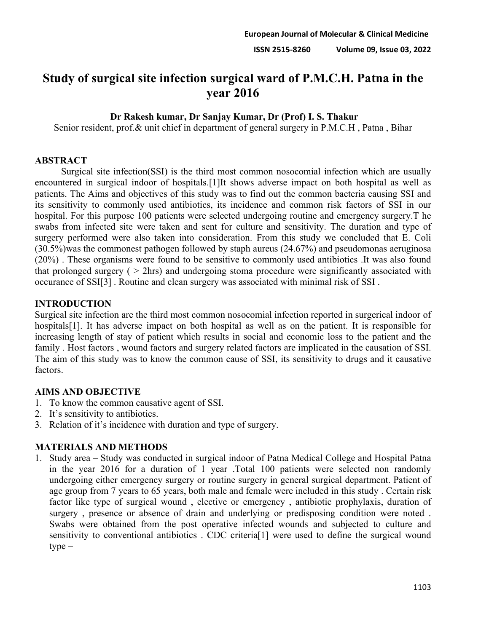# **Study of surgical site infection surgical ward of P.M.C.H. Patna in the year 2016**

#### **Dr Rakesh kumar, Dr Sanjay Kumar, Dr (Prof) I. S. Thakur**

Senior resident, prof.& unit chief in department of general surgery in P.M.C.H , Patna , Bihar

#### **ABSTRACT**

Surgical site infection(SSI) is the third most common nosocomial infection which are usually encountered in surgical indoor of hospitals.[1]It shows adverse impact on both hospital as well as patients. The Aims and objectives of this study was to find out the common bacteria causing SSI and its sensitivity to commonly used antibiotics, its incidence and common risk factors of SSI in our hospital. For this purpose 100 patients were selected undergoing routine and emergency surgery.T he swabs from infected site were taken and sent for culture and sensitivity. The duration and type of surgery performed were also taken into consideration. From this study we concluded that E. Coli (30.5%)was the commonest pathogen followed by staph aureus (24.67%) and pseudomonas aeruginosa (20%) . These organisms were found to be sensitive to commonly used antibiotics .It was also found that prolonged surgery ( $>$  2hrs) and undergoing stoma procedure were significantly associated with occurance of SSI[3] . Routine and clean surgery was associated with minimal risk of SSI .

#### **INTRODUCTION**

Surgical site infection are the third most common nosocomial infection reported in surgerical indoor of hospitals[1]. It has adverse impact on both hospital as well as on the patient. It is responsible for increasing length of stay of patient which results in social and economic loss to the patient and the family . Host factors , wound factors and surgery related factors are implicated in the causation of SSI. The aim of this study was to know the common cause of SSI, its sensitivity to drugs and it causative factors.

# **AIMS AND OBJECTIVE**

- 1. To know the common causative agent of SSI.
- 2. It's sensitivity to antibiotics.
- 3. Relation of it's incidence with duration and type of surgery.

# **MATERIALS AND METHODS**

1. Study area – Study was conducted in surgical indoor of Patna Medical College and Hospital Patna in the year 2016 for a duration of 1 year .Total 100 patients were selected non randomly undergoing either emergency surgery or routine surgery in general surgical department. Patient of age group from 7 years to 65 years, both male and female were included in this study . Certain risk factor like type of surgical wound , elective or emergency , antibiotic prophylaxis, duration of surgery , presence or absence of drain and underlying or predisposing condition were noted . Swabs were obtained from the post operative infected wounds and subjected to culture and sensitivity to conventional antibiotics . CDC criteria[1] were used to define the surgical wound type –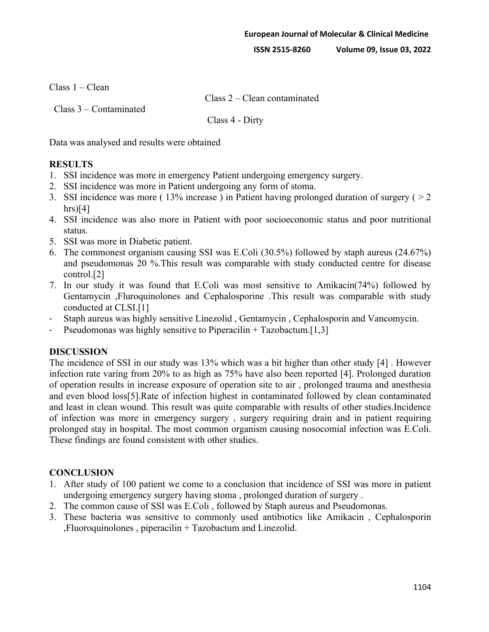**ISSN 2515-8260 Volume 09, Issue 03, 2022**

Class 1 – Clean

Class 2 – Clean contaminated

Class 3 – Contaminated

Class 4 - Dirty

Data was analysed and results were obtained

### **RESULTS**

- 1. SSI incidence was more in emergency Patient undergoing emergency surgery.
- 2. SSI incidence was more in Patient undergoing any form of stoma.
- 3. SSI incidence was more ( $13\%$  increase) in Patient having prolonged duration of surgery ( $> 2$  $hrs$ [4]
- 4. SSI incidence was also more in Patient with poor socioeconomic status and poor nutritional status.
- 5. SSI was more in Diabetic patient.
- 6. The commonest organism causing SSI was E.Coli (30.5%) followed by staph aureus (24.67%) and pseudomonas 20 %.This result was comparable with study conducted centre for disease control.[2]
- 7. In our study it was found that E.Coli was most sensitive to Amikacin(74%) followed by Gentamycin ,Fluroquinolones and Cephalosporine .This result was comparable with study conducted at CLSI.[1]
- Staph aureus was highly sensitive Linezolid, Gentamycin, Cephalosporin and Vancomycin.
- Pseudomonas was highly sensitive to Piperacilin  $+$  Tazobactum.[1,3]

# **DISCUSSION**

The incidence of SSI in our study was 13% which was a bit higher than other study [4] . However infection rate varing from 20% to as high as 75% have also been reported [4]. Prolonged duration of operation results in increase exposure of operation site to air , prolonged trauma and anesthesia and even blood loss[5].Rate of infection highest in contaminated followed by clean contaminated and least in clean wound. This result was quite comparable with results of other studies.Incidence of infection was more in emergency surgery , surgery requiring drain and in patient requiring prolonged stay in hospital. The most common organism causing nosocomial infection was E.Coli. These findings are found consistent with other studies.

# **CONCLUSION**

- 1. After study of 100 patient we come to a conclusion that incidence of SSI was more in patient undergoing emergency surgery having stoma , prolonged duration of surgery .
- 2. The common cause of SSI was E.Coli , followed by Staph aureus and Pseudomonas.
- 3. These bacteria was sensitive to commonly used antibiotics like Amikacin , Cephalosporin ,Fluoroquinolones , piperacilin + Tazobactum and Linezolid.